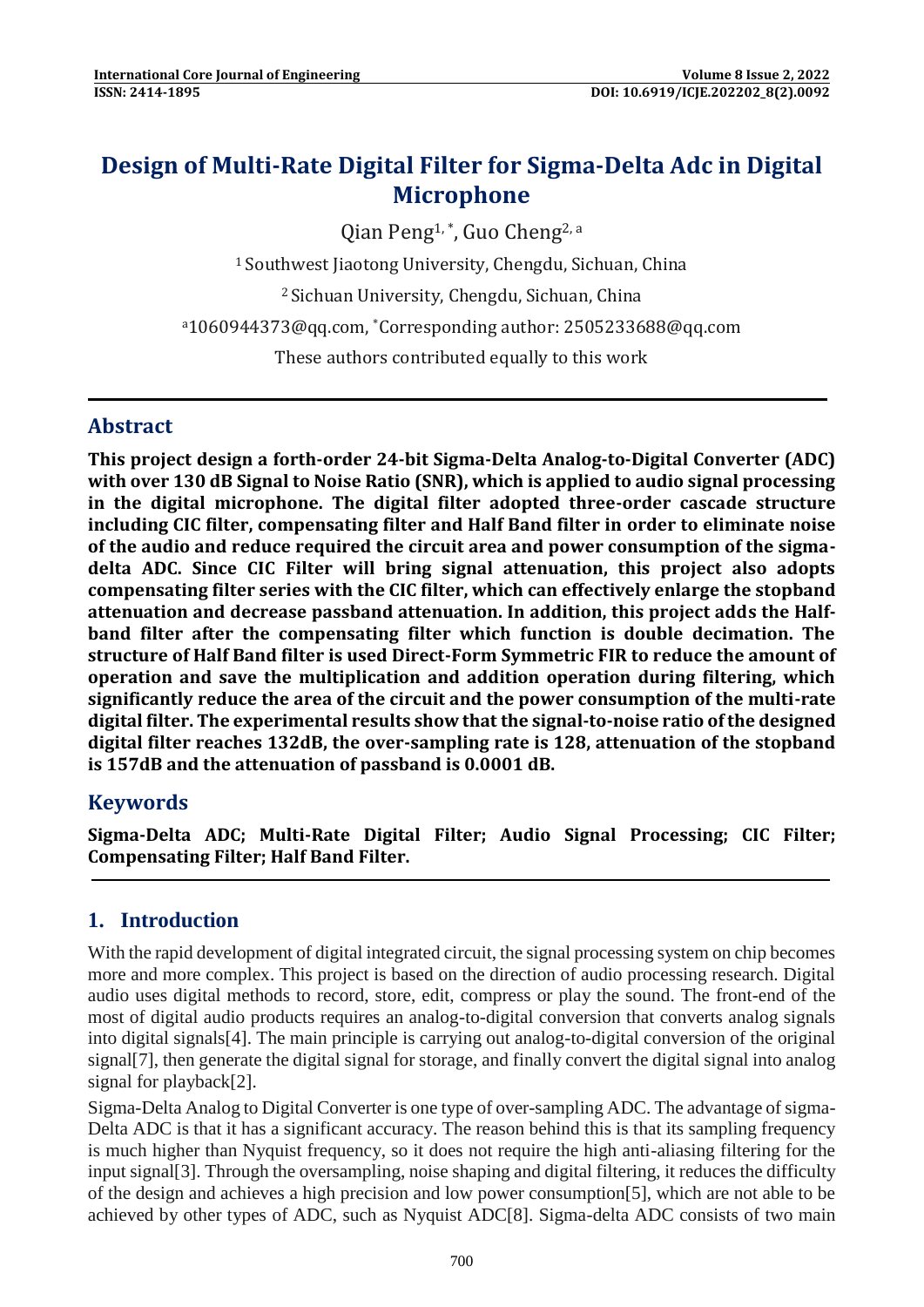# **Design of Multi-Rate Digital Filter for Sigma-Delta Adc in Digital Microphone**

Qian Peng<sup>1,\*</sup>, Guo Cheng<sup>2, a</sup>

<sup>1</sup> Southwest Jiaotong University, Chengdu, Sichuan, China

<sup>2</sup>Sichuan University, Chengdu, Sichuan, China

<sup>a</sup>[1060944373@qq.com,](mailto:1060944373@qq.com) \*Corresponding author: 2505233688@qq.com

These authors contributed equally to this work

#### **Abstract**

**This project design a forth-order 24-bit Sigma-Delta Analog-to-Digital Converter (ADC) with over 130 dB Signal to Noise Ratio (SNR), which is applied to audio signal processing in the digital microphone. The digital filter adopted three-order cascade structure including CIC filter, compensating filter and Half Band filter in order to eliminate noise of the audio and reduce required the circuit area and power consumption of the sigmadelta ADC. Since CIC Filter will bring signal attenuation, this project also adopts compensating filter series with the CIC filter, which can effectively enlarge the stopband attenuation and decrease passband attenuation. In addition, this project adds the Halfband filter after the compensating filter which function is double decimation. The structure of Half Band filter is used Direct-Form Symmetric FIR to reduce the amount of operation and save the multiplication and addition operation during filtering, which significantly reduce the area of the circuit and the power consumption of the multi-rate digital filter. The experimental results show that the signal-to-noise ratio of the designed digital filter reaches 132dB, the over-sampling rate is 128, attenuation of the stopband is 157dB and the attenuation of passband is 0.0001 dB.**

## **Keywords**

**Sigma-Delta ADC; Multi-Rate Digital Filter; Audio Signal Processing; CIC Filter; Compensating Filter; Half Band Filter.**

#### **1. Introduction**

With the rapid development of digital integrated circuit, the signal processing system on chip becomes more and more complex. This project is based on the direction of audio processing research. Digital audio uses digital methods to record, store, edit, compress or play the sound. The front-end of the most of digital audio products requires an analog-to-digital conversion that converts analog signals into digital signals[4]. The main principle is carrying out analog-to-digital conversion of the original signal[7], then generate the digital signal for storage, and finally convert the digital signal into analog signal for playback[2].

Sigma-Delta Analog to Digital Converter is one type of over-sampling ADC. The advantage of sigma-Delta ADC is that it has a significant accuracy. The reason behind this is that its sampling frequency is much higher than Nyquist frequency, so it does not require the high anti-aliasing filtering for the input signal[3]. Through the oversampling, noise shaping and digital filtering, it reduces the difficulty of the design and achieves a high precision and low power consumption[5], which are not able to be achieved by other types of ADC, such as Nyquist ADC[8]. Sigma-delta ADC consists of two main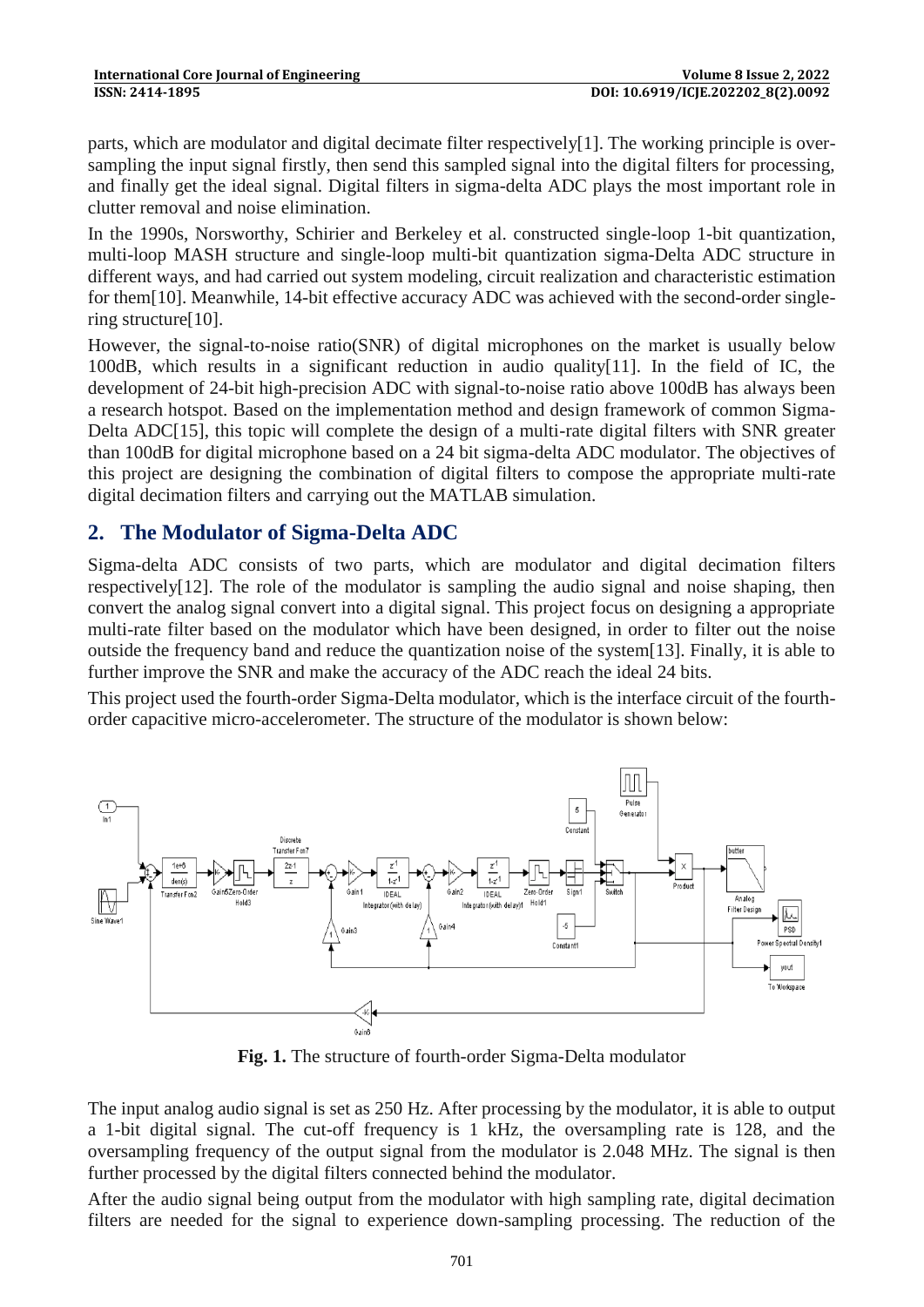parts, which are modulator and digital decimate filter respectively[1]. The working principle is oversampling the input signal firstly, then send this sampled signal into the digital filters for processing, and finally get the ideal signal. Digital filters in sigma-delta ADC plays the most important role in clutter removal and noise elimination.

In the 1990s, Norsworthy, Schirier and Berkeley et al. constructed single-loop 1-bit quantization, multi-loop MASH structure and single-loop multi-bit quantization sigma-Delta ADC structure in different ways, and had carried out system modeling, circuit realization and characteristic estimation for them[10]. Meanwhile, 14-bit effective accuracy ADC was achieved with the second-order singlering structure[10].

However, the signal-to-noise ratio(SNR) of digital microphones on the market is usually below 100dB, which results in a significant reduction in audio quality[11]. In the field of IC, the development of 24-bit high-precision ADC with signal-to-noise ratio above 100dB has always been a research hotspot. Based on the implementation method and design framework of common Sigma-Delta ADC[15], this topic will complete the design of a multi-rate digital filters with SNR greater than 100dB for digital microphone based on a 24 bit sigma-delta ADC modulator. The objectives of this project are designing the combination of digital filters to compose the appropriate multi-rate digital decimation filters and carrying out the MATLAB simulation.

#### **2. The Modulator of Sigma-Delta ADC**

Sigma-delta ADC consists of two parts, which are modulator and digital decimation filters respectively[12]. The role of the modulator is sampling the audio signal and noise shaping, then convert the analog signal convert into a digital signal. This project focus on designing a appropriate multi-rate filter based on the modulator which have been designed, in order to filter out the noise outside the frequency band and reduce the quantization noise of the system[13]. Finally, it is able to further improve the SNR and make the accuracy of the ADC reach the ideal 24 bits.

This project used the fourth-order Sigma-Delta modulator, which is the interface circuit of the fourthorder capacitive micro-accelerometer. The structure of the modulator is shown below:



**Fig. 1.** The structure of fourth-order Sigma-Delta modulator

The input analog audio signal is set as 250 Hz. After processing by the modulator, it is able to output a 1-bit digital signal. The cut-off frequency is 1 kHz, the oversampling rate is 128, and the oversampling frequency of the output signal from the modulator is 2.048 MHz. The signal is then further processed by the digital filters connected behind the modulator.

After the audio signal being output from the modulator with high sampling rate, digital decimation filters are needed for the signal to experience down-sampling processing. The reduction of the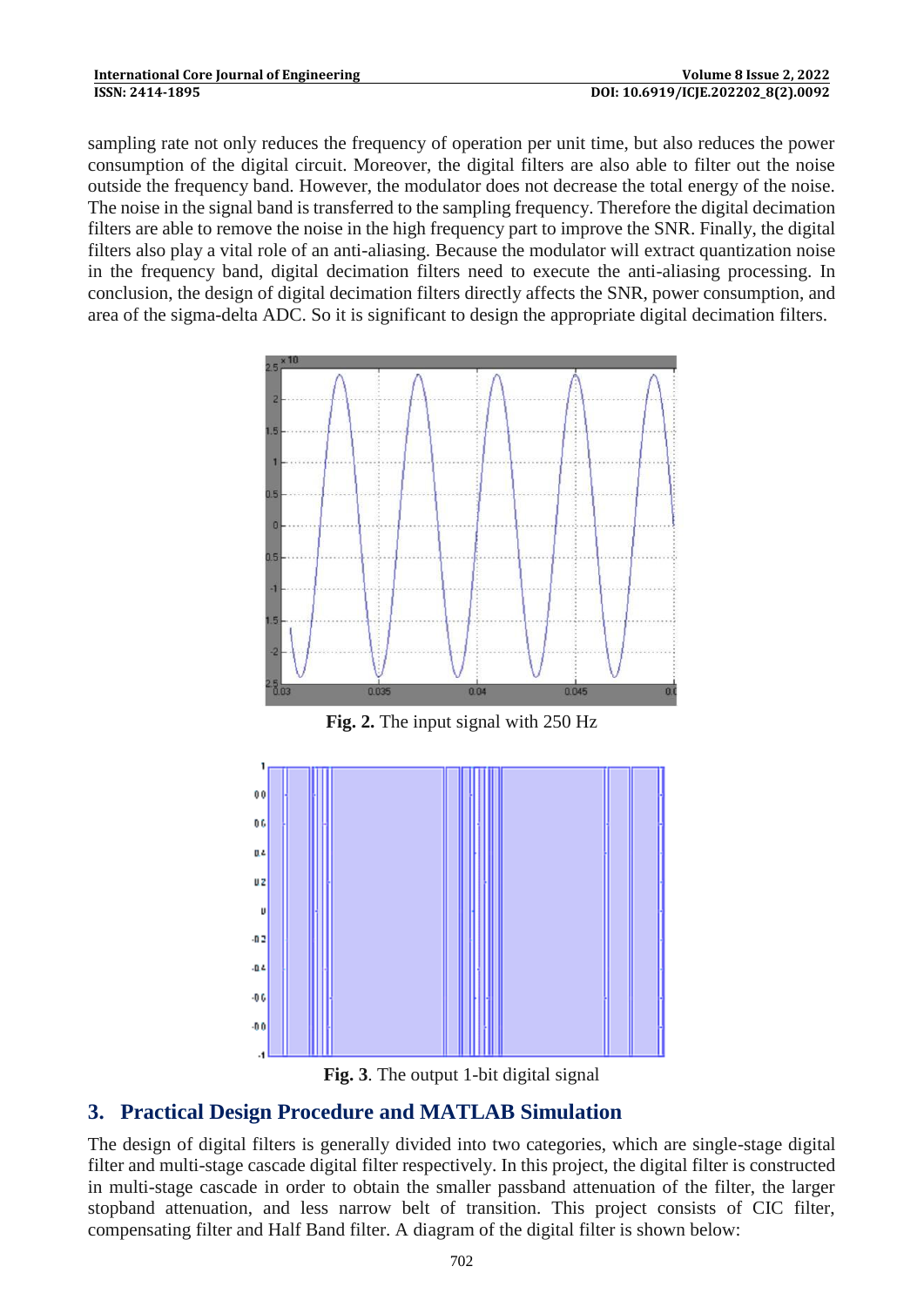sampling rate not only reduces the frequency of operation per unit time, but also reduces the power consumption of the digital circuit. Moreover, the digital filters are also able to filter out the noise outside the frequency band. However, the modulator does not decrease the total energy of the noise. The noise in the signal band is transferred to the sampling frequency. Therefore the digital decimation filters are able to remove the noise in the high frequency part to improve the SNR. Finally, the digital filters also play a vital role of an anti-aliasing. Because the modulator will extract quantization noise in the frequency band, digital decimation filters need to execute the anti-aliasing processing. In conclusion, the design of digital decimation filters directly affects the SNR, power consumption, and area of the sigma-delta ADC. So it is significant to design the appropriate digital decimation filters.



**Fig. 2.** The input signal with 250 Hz





# **3. Practical Design Procedure and MATLAB Simulation**

The design of digital filters is generally divided into two categories, which are single-stage digital filter and multi-stage cascade digital filter respectively. In this project, the digital filter is constructed in multi-stage cascade in order to obtain the smaller passband attenuation of the filter, the larger stopband attenuation, and less narrow belt of transition. This project consists of CIC filter, compensating filter and Half Band filter. A diagram of the digital filter is shown below: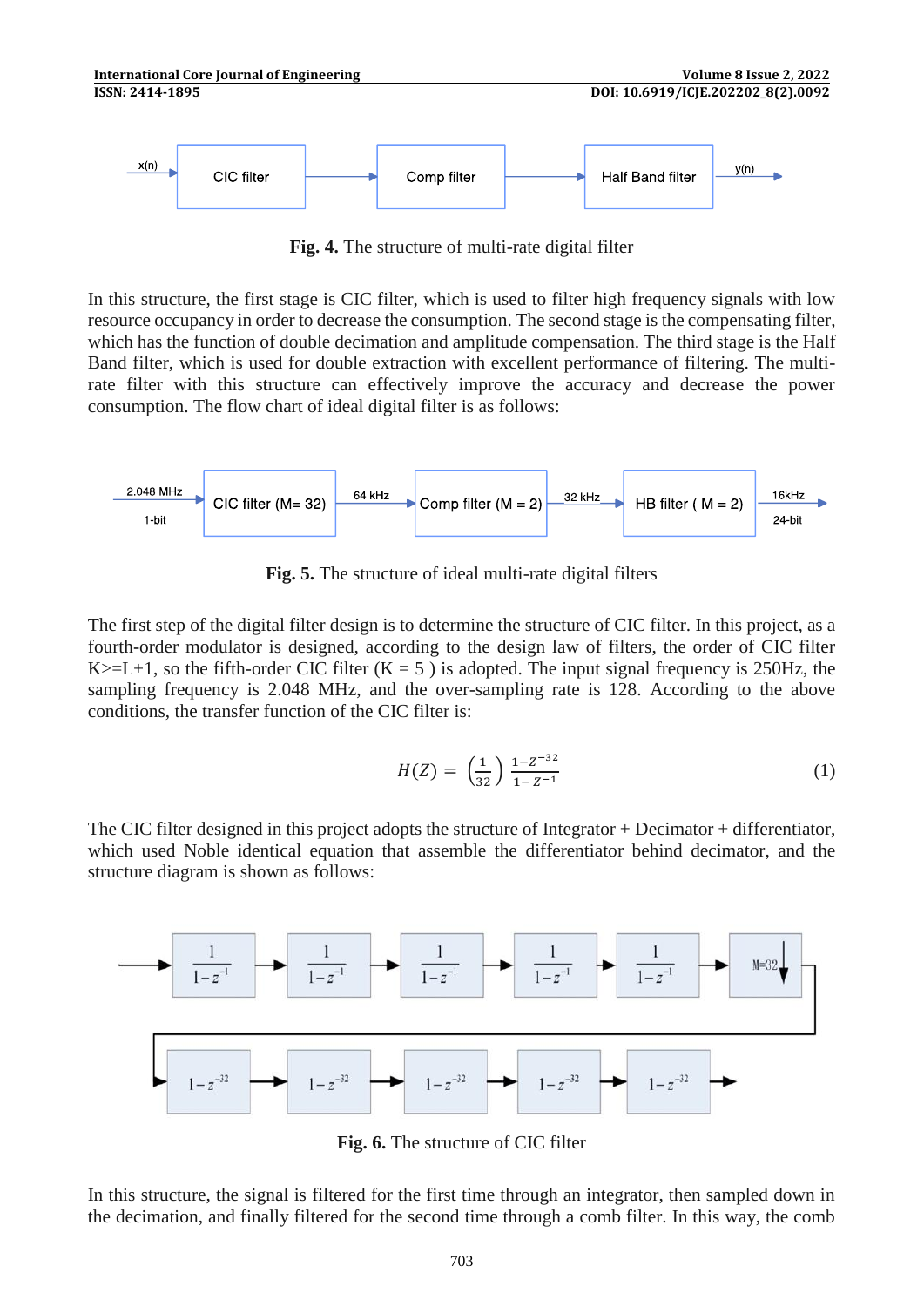**Fig. 4.** The structure of multi-rate digital filter

In this structure, the first stage is CIC filter, which is used to filter high frequency signals with low resource occupancy in order to decrease the consumption. The second stage is the compensating filter, which has the function of double decimation and amplitude compensation. The third stage is the Half Band filter, which is used for double extraction with excellent performance of filtering. The multirate filter with this structure can effectively improve the accuracy and decrease the power consumption. The flow chart of ideal digital filter is as follows:



**Fig. 5.** The structure of ideal multi-rate digital filters

The first step of the digital filter design is to determine the structure of CIC filter. In this project, as a fourth-order modulator is designed, according to the design law of filters, the order of CIC filter K $>=$ L+1, so the fifth-order CIC filter (K = 5) is adopted. The input signal frequency is 250Hz, the sampling frequency is 2.048 MHz, and the over-sampling rate is 128. According to the above conditions, the transfer function of the CIC filter is:

$$
H(Z) = \left(\frac{1}{32}\right) \frac{1 - Z^{-32}}{1 - Z^{-1}}\tag{1}
$$

The CIC filter designed in this project adopts the structure of Integrator + Decimator + differentiator, which used Noble identical equation that assemble the differentiator behind decimator, and the structure diagram is shown as follows:



**Fig. 6.** The structure of CIC filter

In this structure, the signal is filtered for the first time through an integrator, then sampled down in the decimation, and finally filtered for the second time through a comb filter. In this way, the comb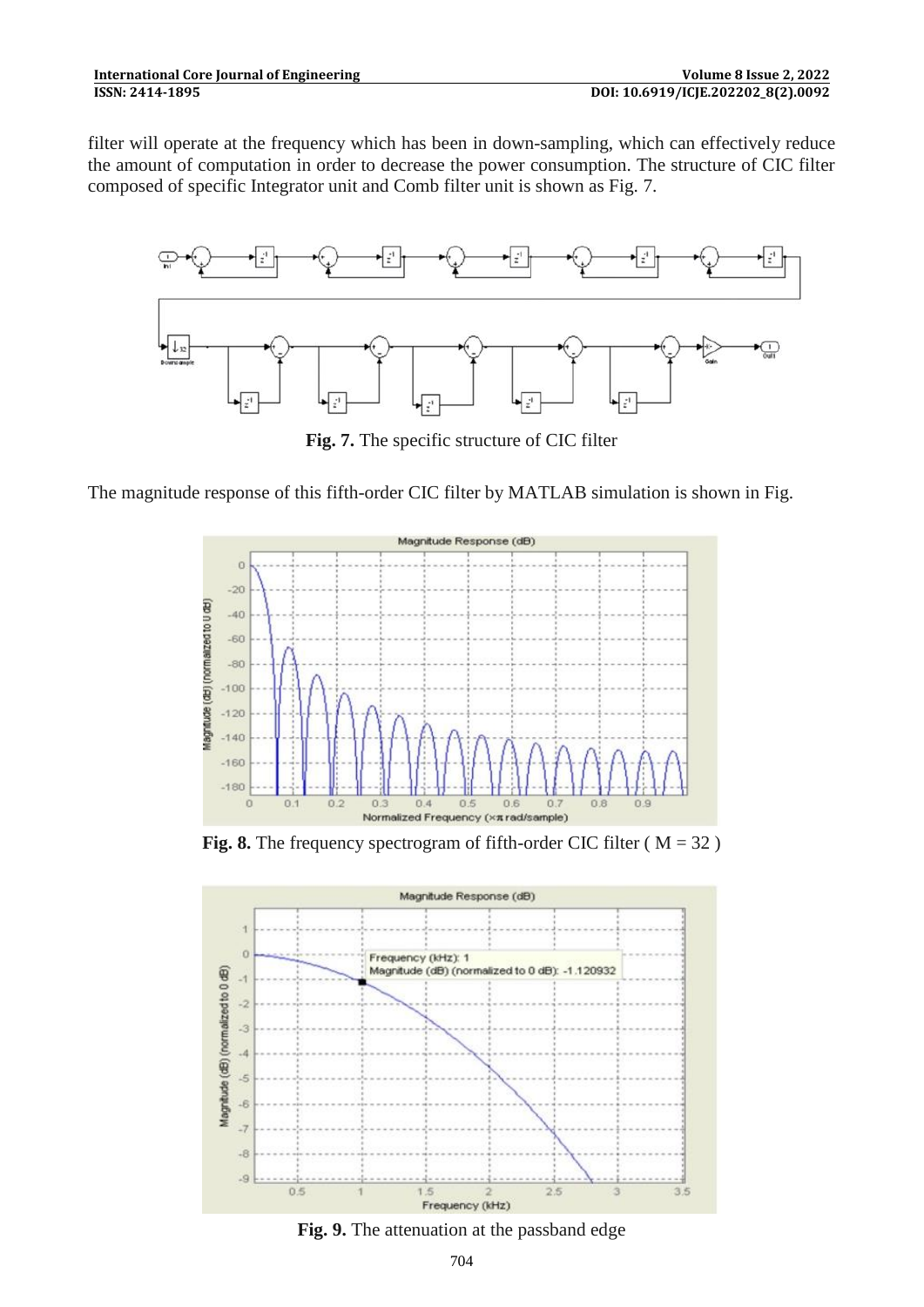filter will operate at the frequency which has been in down-sampling, which can effectively reduce the amount of computation in order to decrease the power consumption. The structure of CIC filter composed of specific Integrator unit and Comb filter unit is shown as Fig. 7.



**Fig. 7.** The specific structure of CIC filter

The magnitude response of this fifth-order CIC filter by MATLAB simulation is shown in Fig.



**Fig. 8.** The frequency spectrogram of fifth-order CIC filter ( $M = 32$ )



**Fig. 9.** The attenuation at the passband edge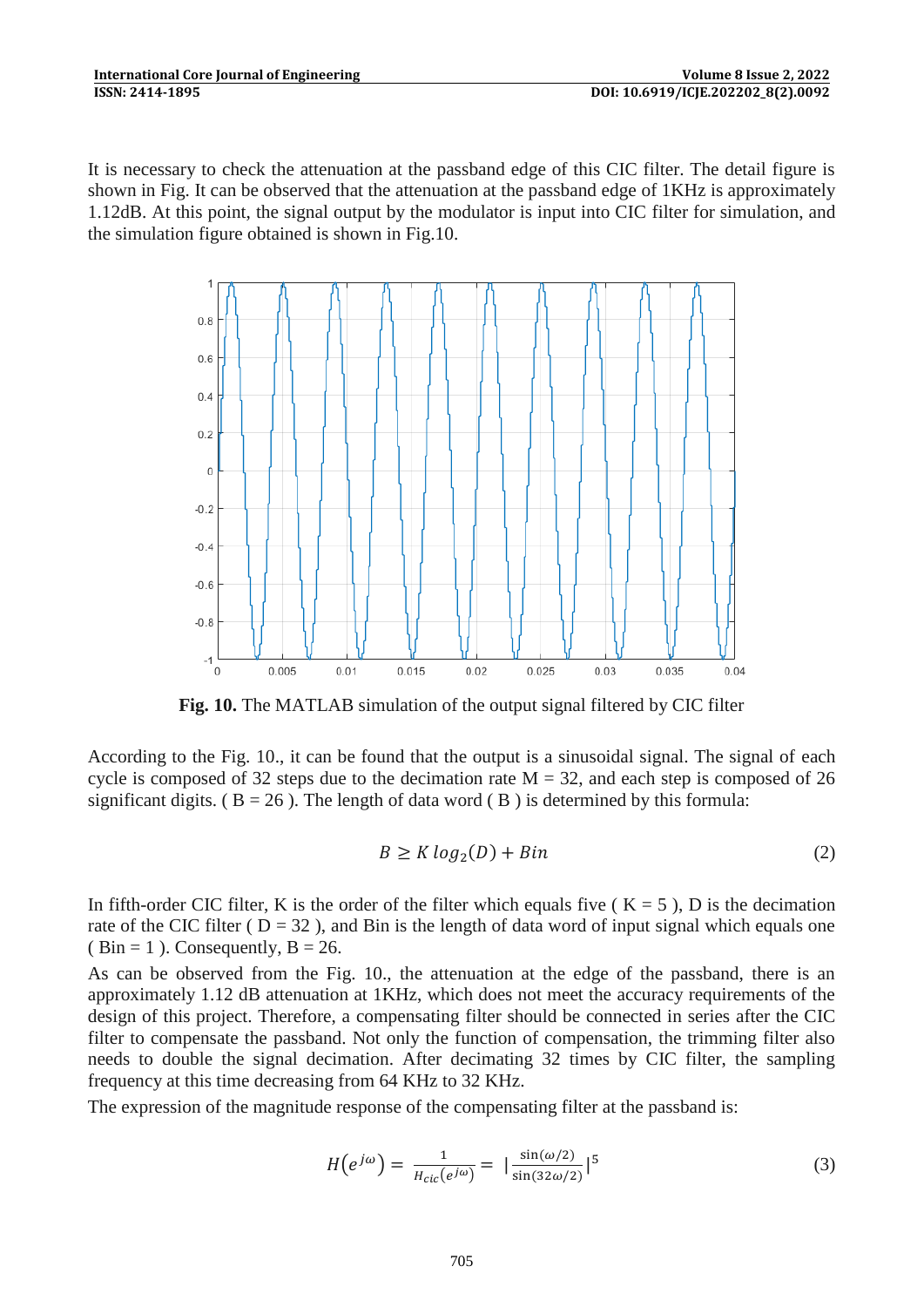It is necessary to check the attenuation at the passband edge of this CIC filter. The detail figure is shown in Fig. It can be observed that the attenuation at the passband edge of 1KHz is approximately 1.12dB. At this point, the signal output by the modulator is input into CIC filter for simulation, and the simulation figure obtained is shown in Fig.10.



**Fig. 10.** The MATLAB simulation of the output signal filtered by CIC filter

According to the Fig. 10., it can be found that the output is a sinusoidal signal. The signal of each cycle is composed of 32 steps due to the decimation rate  $M = 32$ , and each step is composed of 26 significant digits. ( $B = 26$ ). The length of data word ( $B$ ) is determined by this formula:

$$
B \ge K \log_2(D) + Bin \tag{2}
$$

In fifth-order CIC filter, K is the order of the filter which equals five ( $K = 5$ ), D is the decimation rate of the CIC filter ( $D = 32$ ), and Bin is the length of data word of input signal which equals one ( Bin = 1 ). Consequently,  $B = 26$ .

As can be observed from the Fig. 10., the attenuation at the edge of the passband, there is an approximately 1.12 dB attenuation at 1KHz, which does not meet the accuracy requirements of the design of this project. Therefore, a compensating filter should be connected in series after the CIC filter to compensate the passband. Not only the function of compensation, the trimming filter also needs to double the signal decimation. After decimating 32 times by CIC filter, the sampling frequency at this time decreasing from 64 KHz to 32 KHz.

The expression of the magnitude response of the compensating filter at the passband is:

$$
H(e^{j\omega}) = \frac{1}{H_{\text{circ}}(e^{j\omega})} = |\frac{\sin(\omega/2)}{\sin(32\omega/2)}|^5
$$
 (3)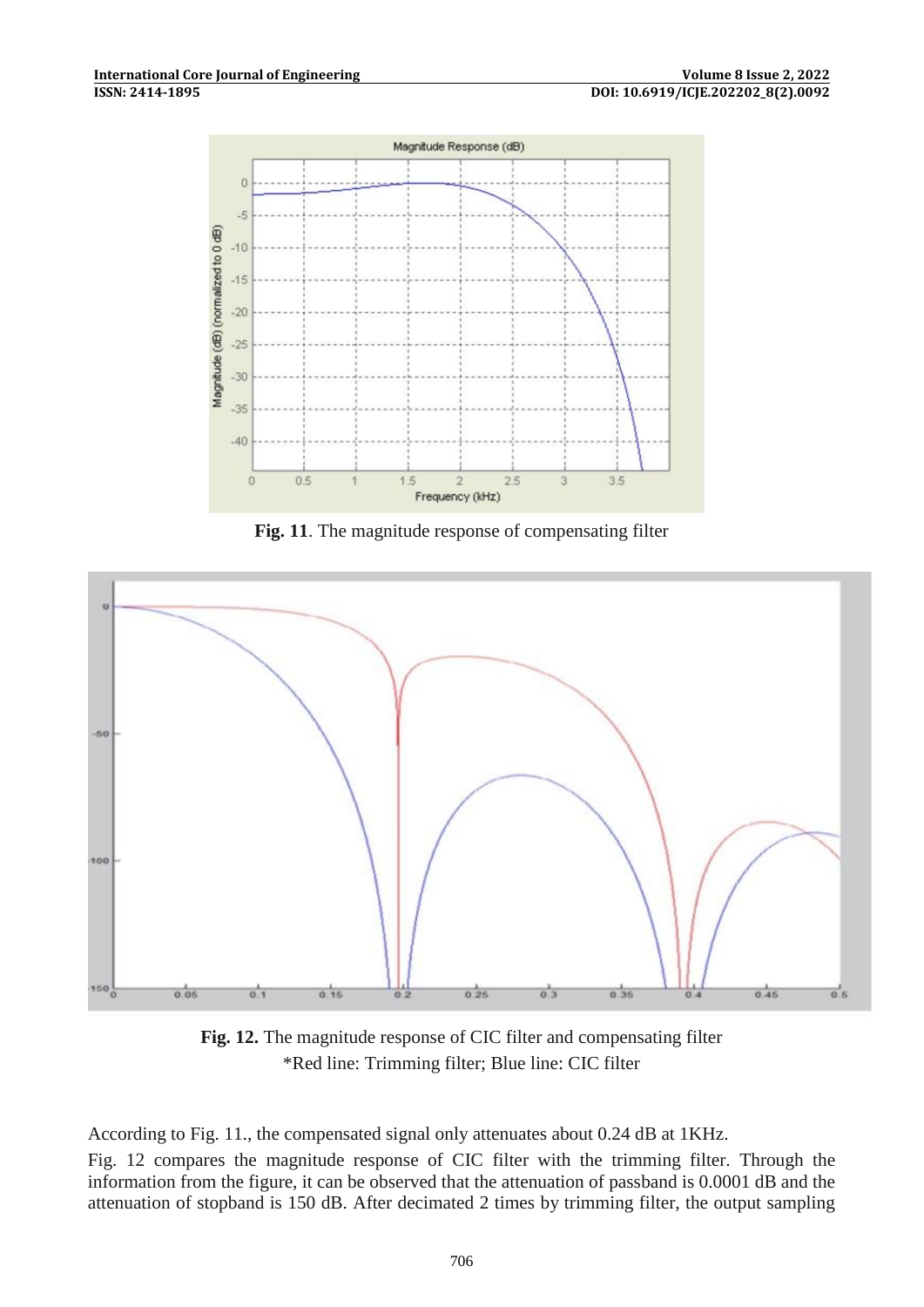

Fig. 11. The magnitude response of compensating filter



**Fig. 12.** The magnitude response of CIC filter and compensating filter \*Red line: Trimming filter; Blue line: CIC filter

According to Fig. 11., the compensated signal only attenuates about 0.24 dB at 1KHz.

Fig. 12 compares the magnitude response of CIC filter with the trimming filter. Through the information from the figure, it can be observed that the attenuation of passband is 0.0001 dB and the attenuation of stopband is 150 dB. After decimated 2 times by trimming filter, the output sampling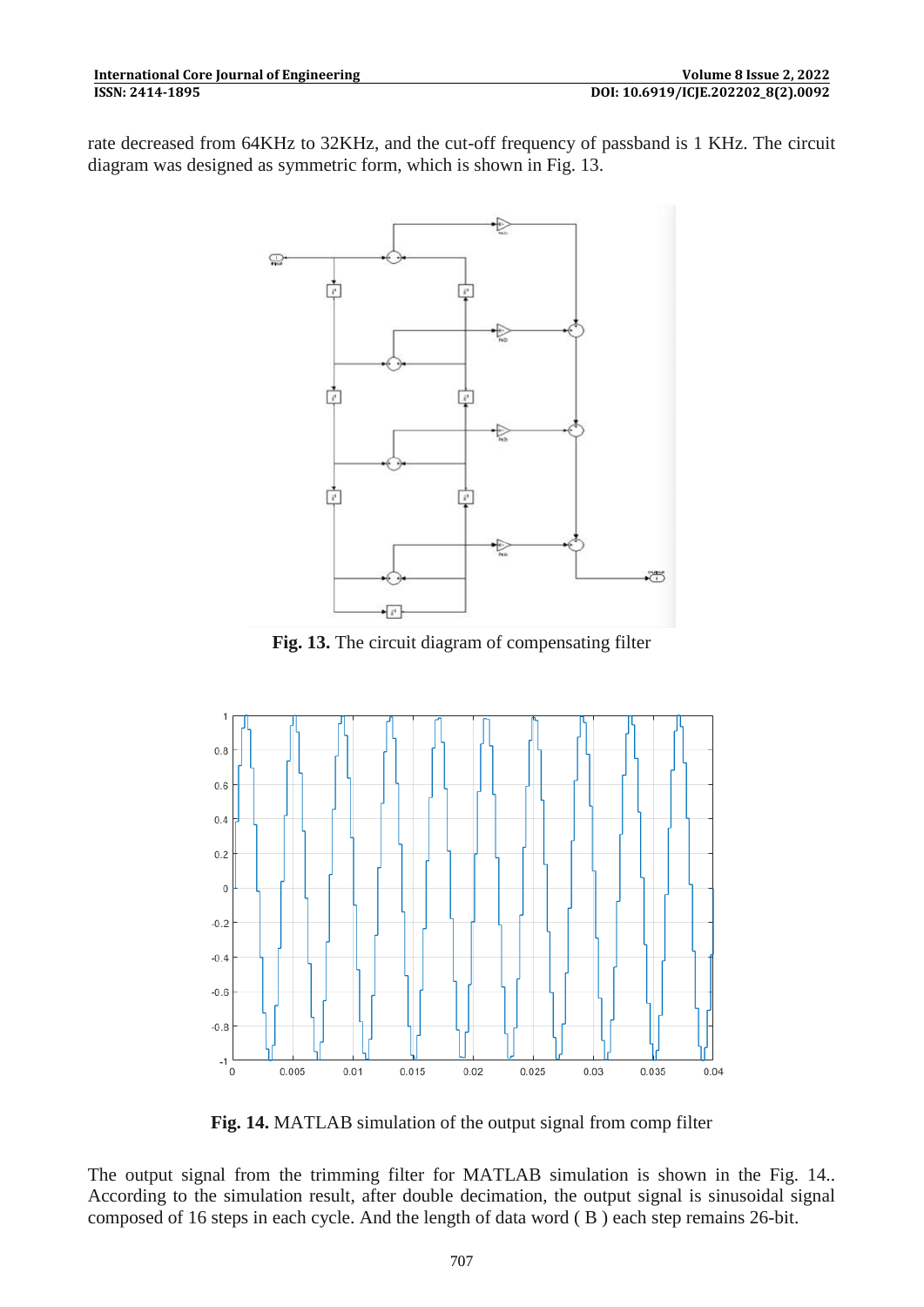rate decreased from 64KHz to 32KHz, and the cut-off frequency of passband is 1 KHz. The circuit diagram was designed as symmetric form, which is shown in Fig. 13.



**Fig. 13.** The circuit diagram of compensating filter



**Fig. 14.** MATLAB simulation of the output signal from comp filter

The output signal from the trimming filter for MATLAB simulation is shown in the Fig. 14.. According to the simulation result, after double decimation, the output signal is sinusoidal signal composed of 16 steps in each cycle. And the length of data word ( B ) each step remains 26-bit.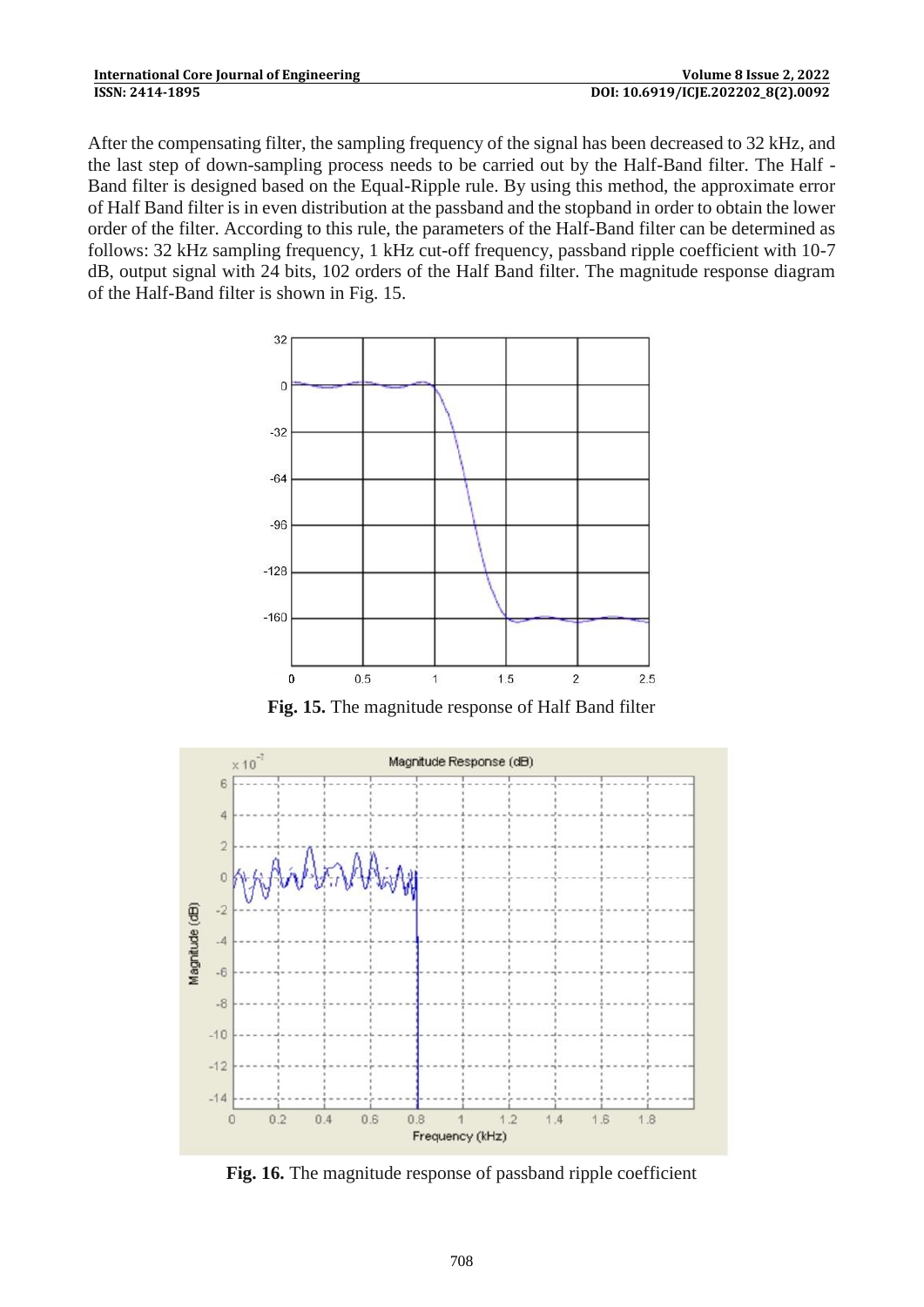After the compensating filter, the sampling frequency of the signal has been decreased to 32 kHz, and the last step of down-sampling process needs to be carried out by the Half-Band filter. The Half - Band filter is designed based on the Equal-Ripple rule. By using this method, the approximate error of Half Band filter is in even distribution at the passband and the stopband in order to obtain the lower order of the filter. According to this rule, the parameters of the Half-Band filter can be determined as follows: 32 kHz sampling frequency, 1 kHz cut-off frequency, passband ripple coefficient with 10-7 dB, output signal with 24 bits, 102 orders of the Half Band filter. The magnitude response diagram of the Half-Band filter is shown in Fig. 15.



**Fig. 15.** The magnitude response of Half Band filter



**Fig. 16.** The magnitude response of passband ripple coefficient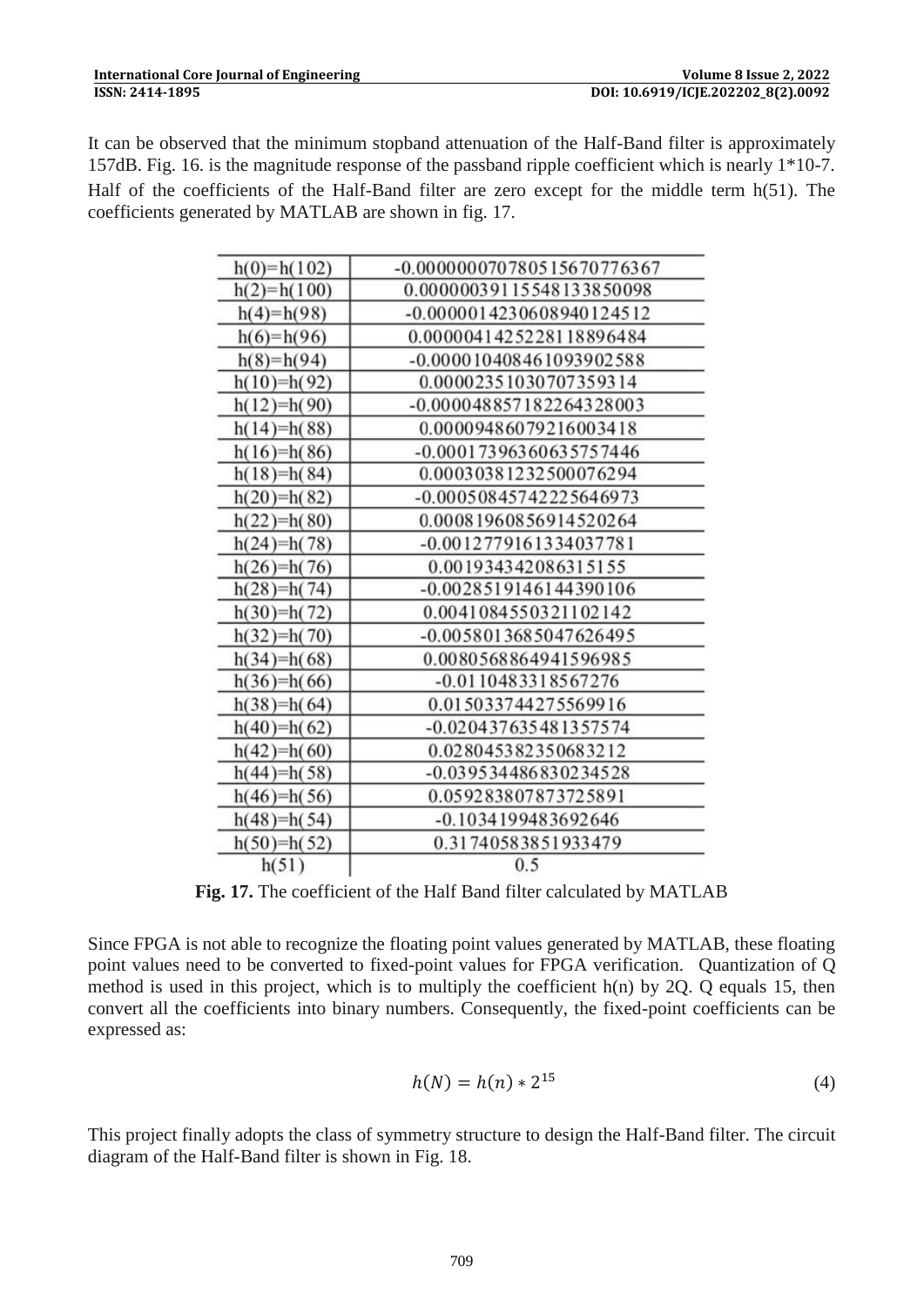It can be observed that the minimum stopband attenuation of the Half-Band filter is approximately 157dB. Fig. 16. is the magnitude response of the passband ripple coefficient which is nearly 1\*10-7. Half of the coefficients of the Half-Band filter are zero except for the middle term h(51). The coefficients generated by MATLAB are shown in fig. 17.

| -0.000000070780515670776367<br>$h(0)=h(102)$<br>0.00000039115548133850098<br>$h(2)=h(100)$<br>$h(4)=h(98)$<br>-0.0000014230608940124512<br>$h(6)=h(96)$<br>0.0000041425228118896484<br>$h(8)=h(94)$<br>-0.000010408461093902588<br>0.00002351030707359314<br>$h(10)=h(92)$<br>-0.000048857182264328003<br>$h(12)=h(90)$<br>0.00009486079216003418<br>$h(14)=h(88)$<br>-0.00017396360635757446<br>$h(16)=h(86)$<br>0.00030381232500076294<br>$h(18)=h(84)$<br>$h(20)=h(82)$<br>-0.00050845742225646973<br>0.00081960856914520264<br>$h(22)=h(80)$<br>-0.0012779161334037781<br>$h(24)=h(78)$<br>$h(26)=h(76)$<br>0.001934342086315155<br>-0.0028519146144390106<br>$h(28)=h(74)$<br>0.0041084550321102142<br>$h(30)=h(72)$<br>-0.0058013685047626495<br>$h(32)=h(70)$<br>$h(34)=h(68)$<br>0.0080568864941596985<br>$h(36)=h(66)$<br>-0.0110483318567276<br>$h(38)=h(64)$<br>0.015033744275569916<br>-0.020437635481357574<br>$h(40)=h(62)$<br>$h(42)=h(60)$<br>0.028045382350683212<br>-0.039534486830234528<br>$h(44)=h(58)$<br>0.059283807873725891<br>$h(46)=h(56)$<br>-0.1034199483692646<br>$h(48)=h(54)$<br>0.31740583851933479<br>$h(50)=h(52)$<br>h(51)<br>0.5 |  |
|-----------------------------------------------------------------------------------------------------------------------------------------------------------------------------------------------------------------------------------------------------------------------------------------------------------------------------------------------------------------------------------------------------------------------------------------------------------------------------------------------------------------------------------------------------------------------------------------------------------------------------------------------------------------------------------------------------------------------------------------------------------------------------------------------------------------------------------------------------------------------------------------------------------------------------------------------------------------------------------------------------------------------------------------------------------------------------------------------------------------------------------------------------------------------|--|
|                                                                                                                                                                                                                                                                                                                                                                                                                                                                                                                                                                                                                                                                                                                                                                                                                                                                                                                                                                                                                                                                                                                                                                       |  |
|                                                                                                                                                                                                                                                                                                                                                                                                                                                                                                                                                                                                                                                                                                                                                                                                                                                                                                                                                                                                                                                                                                                                                                       |  |
|                                                                                                                                                                                                                                                                                                                                                                                                                                                                                                                                                                                                                                                                                                                                                                                                                                                                                                                                                                                                                                                                                                                                                                       |  |
|                                                                                                                                                                                                                                                                                                                                                                                                                                                                                                                                                                                                                                                                                                                                                                                                                                                                                                                                                                                                                                                                                                                                                                       |  |
|                                                                                                                                                                                                                                                                                                                                                                                                                                                                                                                                                                                                                                                                                                                                                                                                                                                                                                                                                                                                                                                                                                                                                                       |  |
|                                                                                                                                                                                                                                                                                                                                                                                                                                                                                                                                                                                                                                                                                                                                                                                                                                                                                                                                                                                                                                                                                                                                                                       |  |
|                                                                                                                                                                                                                                                                                                                                                                                                                                                                                                                                                                                                                                                                                                                                                                                                                                                                                                                                                                                                                                                                                                                                                                       |  |
|                                                                                                                                                                                                                                                                                                                                                                                                                                                                                                                                                                                                                                                                                                                                                                                                                                                                                                                                                                                                                                                                                                                                                                       |  |
|                                                                                                                                                                                                                                                                                                                                                                                                                                                                                                                                                                                                                                                                                                                                                                                                                                                                                                                                                                                                                                                                                                                                                                       |  |
|                                                                                                                                                                                                                                                                                                                                                                                                                                                                                                                                                                                                                                                                                                                                                                                                                                                                                                                                                                                                                                                                                                                                                                       |  |
|                                                                                                                                                                                                                                                                                                                                                                                                                                                                                                                                                                                                                                                                                                                                                                                                                                                                                                                                                                                                                                                                                                                                                                       |  |
|                                                                                                                                                                                                                                                                                                                                                                                                                                                                                                                                                                                                                                                                                                                                                                                                                                                                                                                                                                                                                                                                                                                                                                       |  |
|                                                                                                                                                                                                                                                                                                                                                                                                                                                                                                                                                                                                                                                                                                                                                                                                                                                                                                                                                                                                                                                                                                                                                                       |  |
|                                                                                                                                                                                                                                                                                                                                                                                                                                                                                                                                                                                                                                                                                                                                                                                                                                                                                                                                                                                                                                                                                                                                                                       |  |
|                                                                                                                                                                                                                                                                                                                                                                                                                                                                                                                                                                                                                                                                                                                                                                                                                                                                                                                                                                                                                                                                                                                                                                       |  |
|                                                                                                                                                                                                                                                                                                                                                                                                                                                                                                                                                                                                                                                                                                                                                                                                                                                                                                                                                                                                                                                                                                                                                                       |  |
|                                                                                                                                                                                                                                                                                                                                                                                                                                                                                                                                                                                                                                                                                                                                                                                                                                                                                                                                                                                                                                                                                                                                                                       |  |
|                                                                                                                                                                                                                                                                                                                                                                                                                                                                                                                                                                                                                                                                                                                                                                                                                                                                                                                                                                                                                                                                                                                                                                       |  |
|                                                                                                                                                                                                                                                                                                                                                                                                                                                                                                                                                                                                                                                                                                                                                                                                                                                                                                                                                                                                                                                                                                                                                                       |  |
|                                                                                                                                                                                                                                                                                                                                                                                                                                                                                                                                                                                                                                                                                                                                                                                                                                                                                                                                                                                                                                                                                                                                                                       |  |
|                                                                                                                                                                                                                                                                                                                                                                                                                                                                                                                                                                                                                                                                                                                                                                                                                                                                                                                                                                                                                                                                                                                                                                       |  |
|                                                                                                                                                                                                                                                                                                                                                                                                                                                                                                                                                                                                                                                                                                                                                                                                                                                                                                                                                                                                                                                                                                                                                                       |  |
|                                                                                                                                                                                                                                                                                                                                                                                                                                                                                                                                                                                                                                                                                                                                                                                                                                                                                                                                                                                                                                                                                                                                                                       |  |
|                                                                                                                                                                                                                                                                                                                                                                                                                                                                                                                                                                                                                                                                                                                                                                                                                                                                                                                                                                                                                                                                                                                                                                       |  |
|                                                                                                                                                                                                                                                                                                                                                                                                                                                                                                                                                                                                                                                                                                                                                                                                                                                                                                                                                                                                                                                                                                                                                                       |  |
|                                                                                                                                                                                                                                                                                                                                                                                                                                                                                                                                                                                                                                                                                                                                                                                                                                                                                                                                                                                                                                                                                                                                                                       |  |
|                                                                                                                                                                                                                                                                                                                                                                                                                                                                                                                                                                                                                                                                                                                                                                                                                                                                                                                                                                                                                                                                                                                                                                       |  |

**Fig. 17.** The coefficient of the Half Band filter calculated by MATLAB

Since FPGA is not able to recognize the floating point values generated by MATLAB, these floating point values need to be converted to fixed-point values for FPGA verification. Quantization of Q method is used in this project, which is to multiply the coefficient  $h(n)$  by 2Q. Q equals 15, then convert all the coefficients into binary numbers. Consequently, the fixed-point coefficients can be expressed as:

$$
h(N) = h(n) * 2^{15}
$$
 (4)

This project finally adopts the class of symmetry structure to design the Half-Band filter. The circuit diagram of the Half-Band filter is shown in Fig. 18.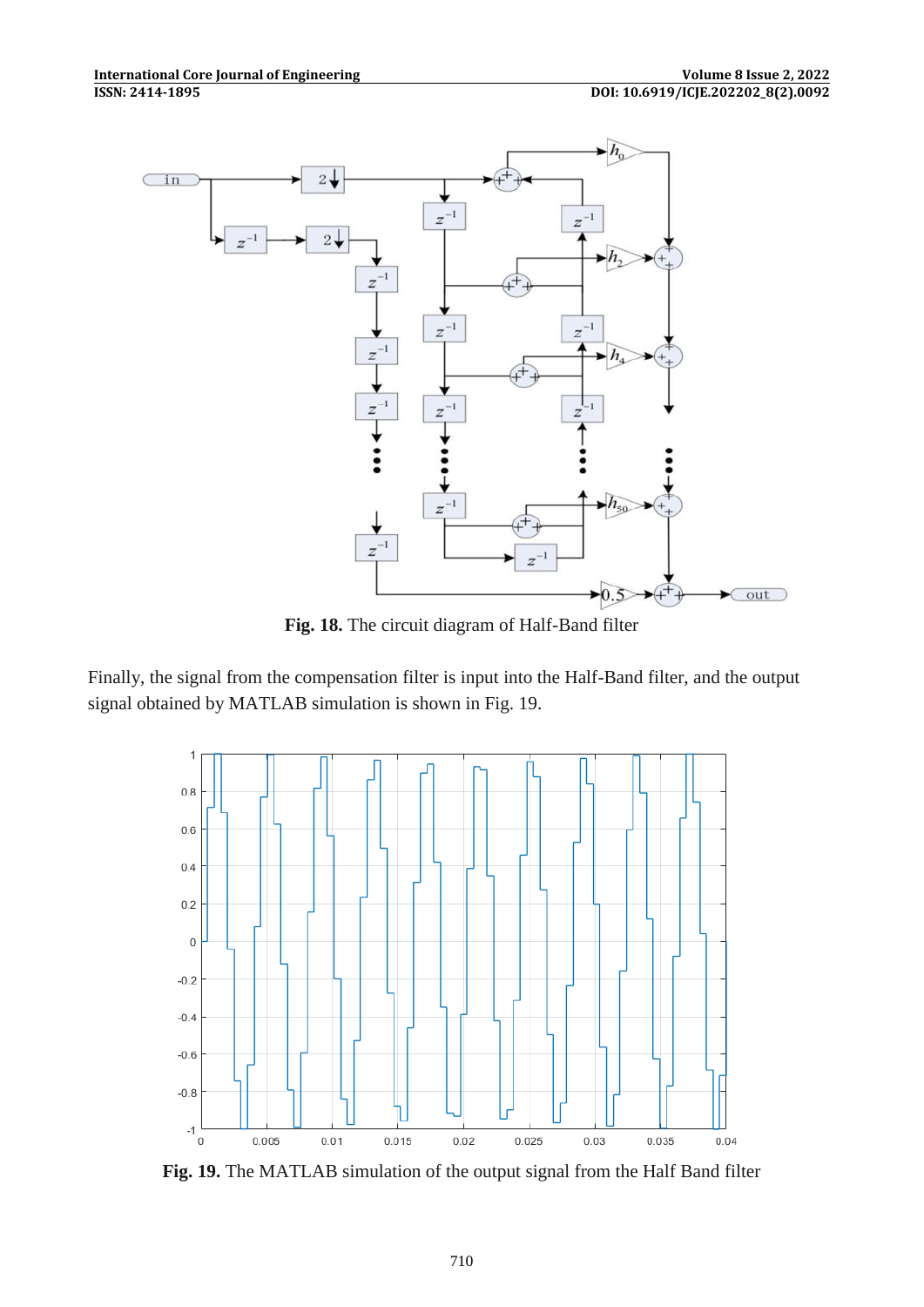

**Fig. 18.** The circuit diagram of Half-Band filter

Finally, the signal from the compensation filter is input into the Half-Band filter, and the output signal obtained by MATLAB simulation is shown in Fig. 19.



**Fig. 19.** The MATLAB simulation of the output signal from the Half Band filter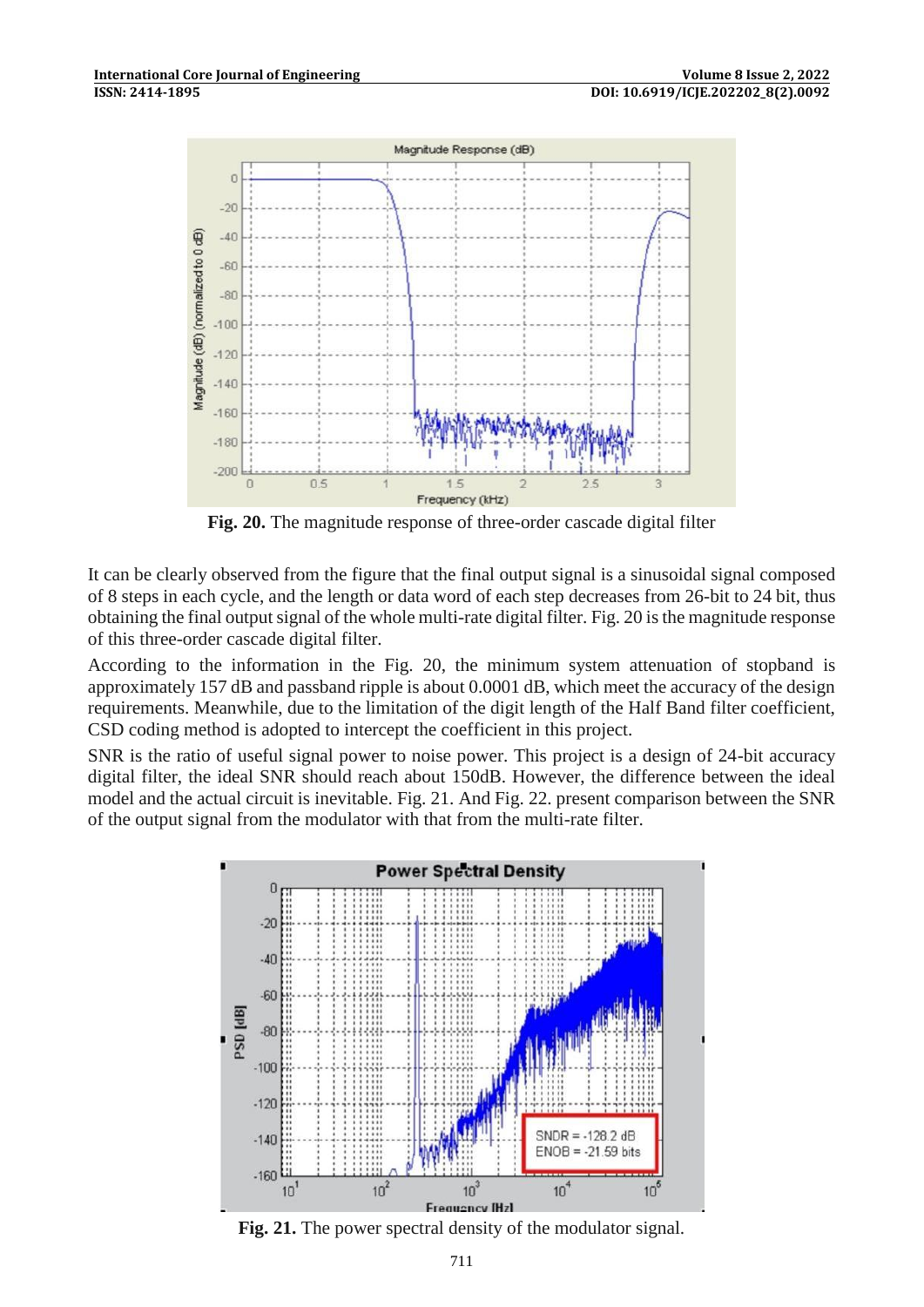

**Fig. 20.** The magnitude response of three-order cascade digital filter

It can be clearly observed from the figure that the final output signal is a sinusoidal signal composed of 8 steps in each cycle, and the length or data word of each step decreases from 26-bit to 24 bit, thus obtaining the final output signal of the whole multi-rate digital filter. Fig. 20 is the magnitude response of this three-order cascade digital filter.

According to the information in the Fig. 20, the minimum system attenuation of stopband is approximately 157 dB and passband ripple is about 0.0001 dB, which meet the accuracy of the design requirements. Meanwhile, due to the limitation of the digit length of the Half Band filter coefficient, CSD coding method is adopted to intercept the coefficient in this project.

SNR is the ratio of useful signal power to noise power. This project is a design of 24-bit accuracy digital filter, the ideal SNR should reach about 150dB. However, the difference between the ideal model and the actual circuit is inevitable. Fig. 21. And Fig. 22. present comparison between the SNR of the output signal from the modulator with that from the multi-rate filter.



**Fig. 21.** The power spectral density of the modulator signal.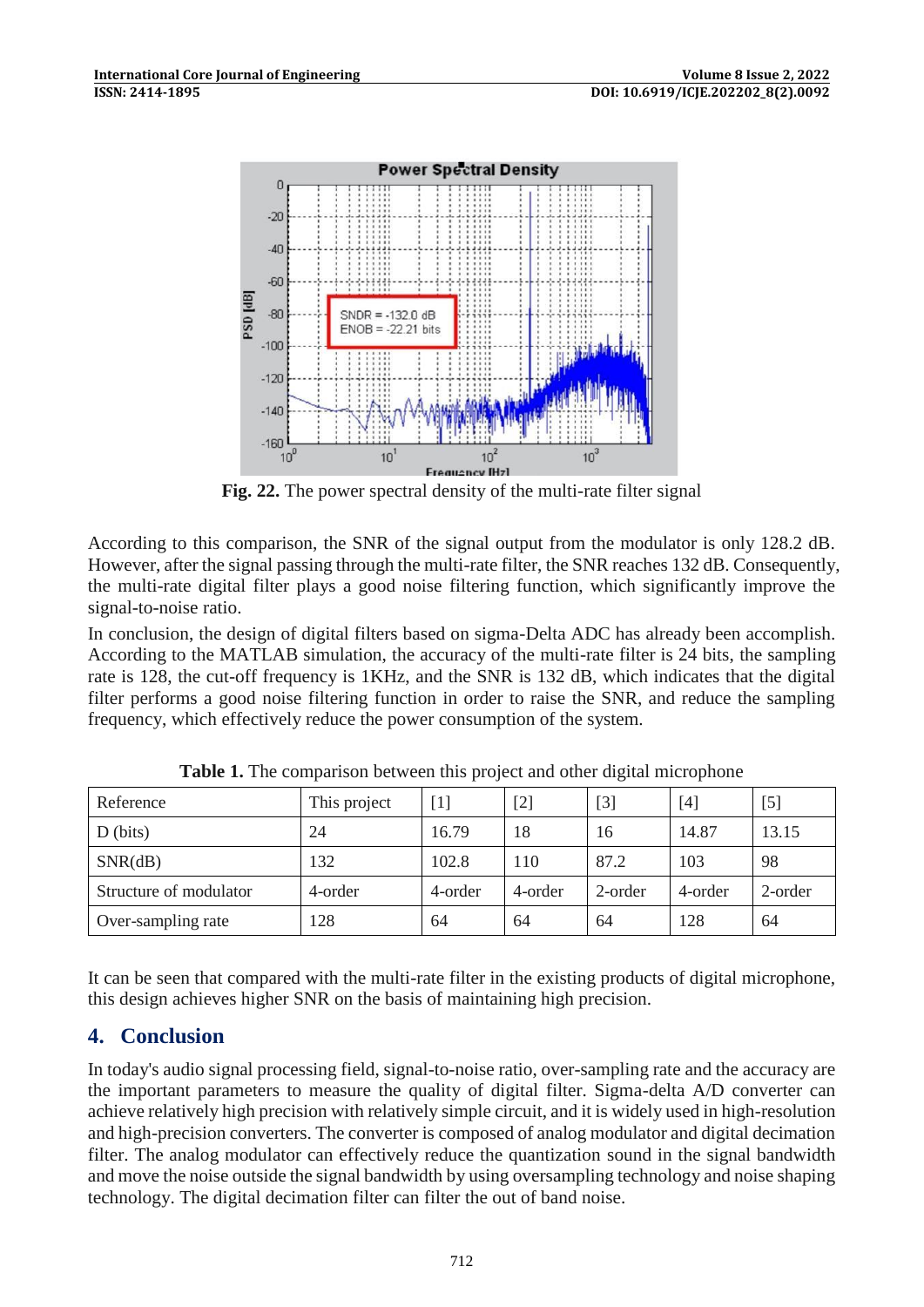

**Fig. 22.** The power spectral density of the multi-rate filter signal

According to this comparison, the SNR of the signal output from the modulator is only 128.2 dB. However, after the signal passing through the multi-rate filter, the SNR reaches 132 dB. Consequently, the multi-rate digital filter plays a good noise filtering function, which significantly improve the signal-to-noise ratio.

In conclusion, the design of digital filters based on sigma-Delta ADC has already been accomplish. According to the MATLAB simulation, the accuracy of the multi-rate filter is 24 bits, the sampling rate is 128, the cut-off frequency is 1KHz, and the SNR is 132 dB, which indicates that the digital filter performs a good noise filtering function in order to raise the SNR, and reduce the sampling frequency, which effectively reduce the power consumption of the system.

| Reference              | This project | $\lceil$ | $[2]$   | $[3]$   | [4]     | $[5]$   |
|------------------------|--------------|----------|---------|---------|---------|---------|
| $D$ (bits)             | 24           | 16.79    | 18      | 16      | 14.87   | 13.15   |
| SNR(dB)                | 132          | 102.8    | 110     | 87.2    | 103     | 98      |
| Structure of modulator | 4-order      | 4-order  | 4-order | 2-order | 4-order | 2-order |
| Over-sampling rate     | 128          | 64       | 64      | 64      | 128     | 64      |

**Table 1.** The comparison between this project and other digital microphone

It can be seen that compared with the multi-rate filter in the existing products of digital microphone, this design achieves higher SNR on the basis of maintaining high precision.

## **4. Conclusion**

In today's audio signal processing field, signal-to-noise ratio, over-sampling rate and the accuracy are the important parameters to measure the quality of digital filter. Sigma-delta A/D converter can achieve relatively high precision with relatively simple circuit, and it is widely used in high-resolution and high-precision converters. The converter is composed of analog modulator and digital decimation filter. The analog modulator can effectively reduce the quantization sound in the signal bandwidth and move the noise outside the signal bandwidth by using oversampling technology and noise shaping technology. The digital decimation filter can filter the out of band noise.